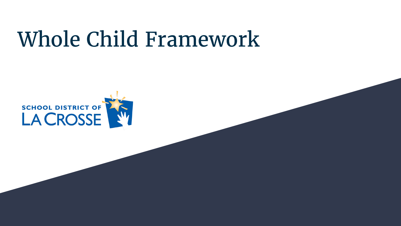## Whole Child Framework

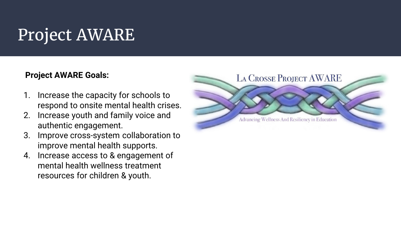## Project AWARE

#### **Project AWARE Goals:**

- 1. Increase the capacity for schools to respond to onsite mental health crises.
- 2. Increase youth and family voice and authentic engagement.
- 3. Improve cross-system collaboration to improve mental health supports.
- 4. Increase access to & engagement of mental health wellness treatment resources for children & youth.

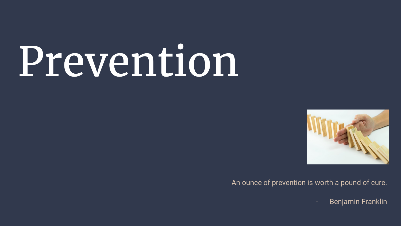# Prevention



An ounce of prevention is worth a pound of cure.

Benjamin Franklin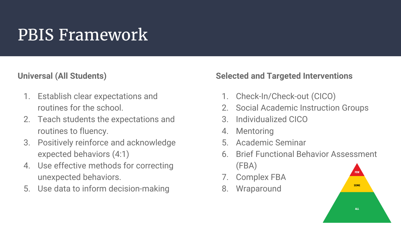## PBIS Framework

### **Universal (All Students)**

- 1. Establish clear expectations and routines for the school.
- 2. Teach students the expectations and routines to fluency.
- 3. Positively reinforce and acknowledge expected behaviors (4:1)
- 4. Use effective methods for correcting unexpected behaviors.
- 5. Use data to inform decision-making

### **Selected and Targeted Interventions**

- 1. Check-In/Check-out (CICO)
- 2. Social Academic Instruction Groups
- 3. Individualized CICO
- 4. Mentoring
- 5. Academic Seminar
- 6. Brief Functional Behavior Assessment (FBA)
- 7. Complex FBA
- 8. Wraparound

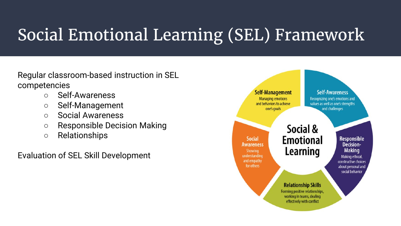## Social Emotional Learning (SEL) Framework

Regular classroom-based instruction in SEL competencies

- Self-Awareness
- Self-Management
- Social Awareness
- Responsible Decision Making
- Relationships

Evaluation of SEL Skill Development

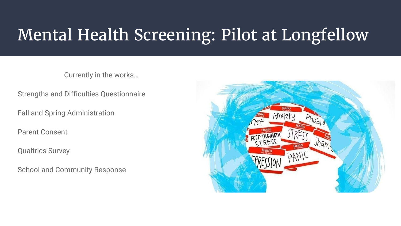## Mental Health Screening: Pilot at Longfellow

Currently in the works…

Strengths and Difficulties Questionnaire

Fall and Spring Administration

Parent Consent

Qualtrics Survey

School and Community Response

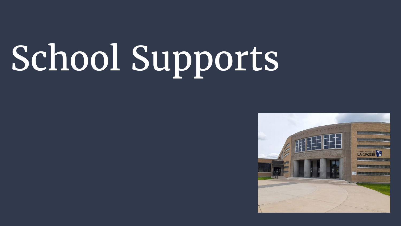# School Supports

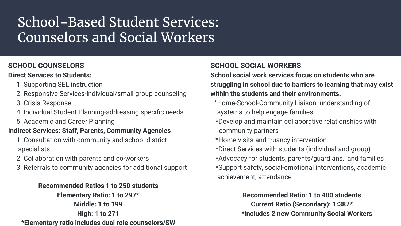### School-Based Student Services: Counselors and Social Workers

#### **SCHOOL COUNSELORS**

#### **Direct Services to Students:**

- 1. Supporting SEL instruction
- 2. Responsive Services-individual/small group counseling
- 3. Crisis Response
- 4. Individual Student Planning-addressing specific needs
- 5. Academic and Career Planning

#### **Indirect Services: Staff, Parents, Community Agencies**

- 1. Consultation with community and school district specialists
- 2. Collaboration with parents and co-workers
- 3. Referrals to community agencies for additional support

#### **Recommended Ratios 1 to 250 students**

**Elementary Ratio: 1 to 297\* Middle: 1 to 199 High: 1 to 271 \*Elementary ratio includes dual role counselors/SW**

#### **SCHOOL SOCIAL WORKERS**

**School social work services focus on students who are struggling in school due to barriers to learning that may exist within the students and their environments.**

- \*Home-School-Community Liaison: understanding of systems to help engage families
- \*Develop and maintain collaborative relationships with community partners
- \*Home visits and truancy intervention
- \*Direct Services with students (individual and group)
- \*Advocacy for students, parents/guardians, and families \*Support safety, social-emotional interventions, academic achievement, attendance

#### **Recommended Ratio: 1 to 400 students**

**Current Ratio (Secondary): 1:387\* \*includes 2 new Community Social Workers**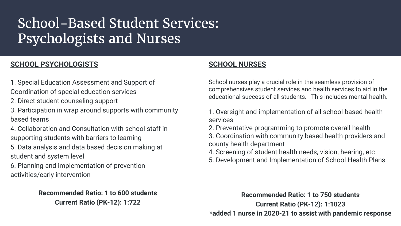## School-Based Student Services: Psychologists and Nurses

#### **SCHOOL PSYCHOLOGISTS**

- 1. Special Education Assessment and Support of
- Coordination of special education services
- 2. Direct student counseling support
- 3. Participation in wrap around supports with community based teams
- 4. Collaboration and Consultation with school staff in supporting students with barriers to learning
- 5. Data analysis and data based decision making at student and system level
- 6. Planning and implementation of prevention activities/early intervention

#### **Recommended Ratio: 1 to 600 students Current Ratio (PK-12): 1:722**

#### **SCHOOL NURSES**

School nurses play a crucial role in the seamless provision of comprehensives student services and health services to aid in the educational success of all students. This includes mental health.

- 1. Oversight and implementation of all school based health services
- 2. Preventative programming to promote overall health
- 3. Coordination with community based health providers and county health department
- 4. Screening of student health needs, vision, hearing, etc
- 5. Development and Implementation of School Health Plans

**Recommended Ratio: 1 to 750 students Current Ratio (PK-12): 1:1023 \*added 1 nurse in 2020-21 to assist with pandemic response**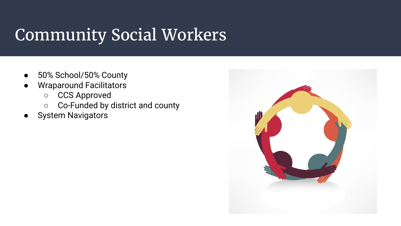## Community Social Workers

- 50% School/50% County
- **Wraparound Facilitators** 
	- CCS Approved
	- Co-Funded by district and county
- System Navigators

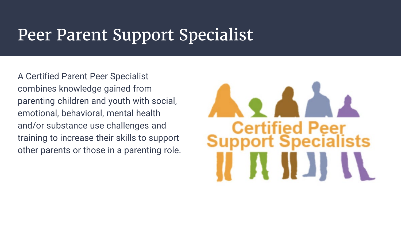## Peer Parent Support Specialist

A Certified Parent Peer Specialist combines knowledge gained from parenting children and youth with social, emotional, behavioral, mental health and/or substance use challenges and training to increase their skills to support other parents or those in a parenting role.

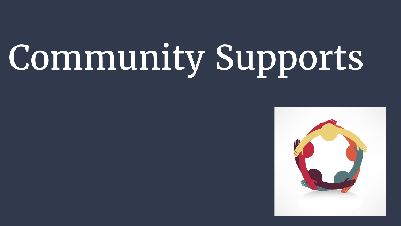## Community Supports

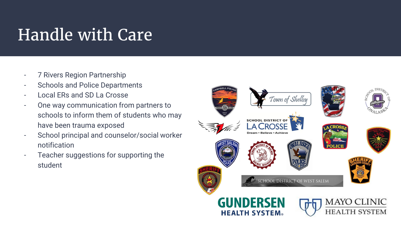## Handle with Care

- 7 Rivers Region Partnership
- Schools and Police Departments
- Local ERs and SD La Crosse
- One way communication from partners to schools to inform them of students who may have been trauma exposed
- School principal and counselor/social worker notification
- Teacher suggestions for supporting the student

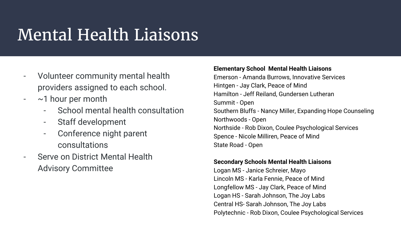## Mental Health Liaisons

- Volunteer community mental health providers assigned to each school.
- $\sim$  1 hour per month
	- School mental health consultation
	- Staff development
	- Conference night parent consultations
- Serve on District Mental Health Advisory Committee

#### **Elementary School Mental Health Liaisons**

Emerson - Amanda Burrows, Innovative Services Hintgen - Jay Clark, Peace of Mind Hamilton - Jeff Reiland, Gundersen Lutheran Summit - Open Southern Bluffs - Nancy Miller, Expanding Hope Counseling Northwoods - Open Northside - Rob Dixon, Coulee Psychological Services Spence - Nicole Milliren, Peace of Mind State Road - Open

#### **Secondary Schools Mental Health Liaisons**

Logan MS - Janice Schreier, Mayo Lincoln MS - Karla Fennie, Peace of Mind Longfellow MS - Jay Clark, Peace of Mind Logan HS - Sarah Johnson, The Joy Labs Central HS- Sarah Johnson, The Joy Labs Polytechnic - Rob Dixon, Coulee Psychological Services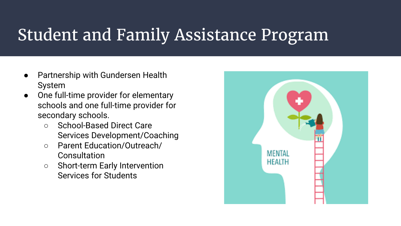## Student and Family Assistance Program

- Partnership with Gundersen Health System
- One full-time provider for elementary schools and one full-time provider for secondary schools.
	- School-Based Direct Care Services Development/Coaching
	- Parent Education/Outreach/ **Consultation**
	- Short-term Early Intervention Services for Students

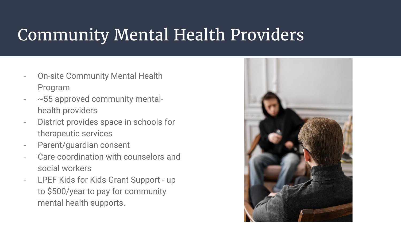## Community Mental Health Providers

- **On-site Community Mental Health** Program
- ~55 approved community mentalhealth providers
- District provides space in schools for therapeutic services
- Parent/guardian consent
- Care coordination with counselors and social workers
- LPEF Kids for Kids Grant Support up to \$500/year to pay for community mental health supports.